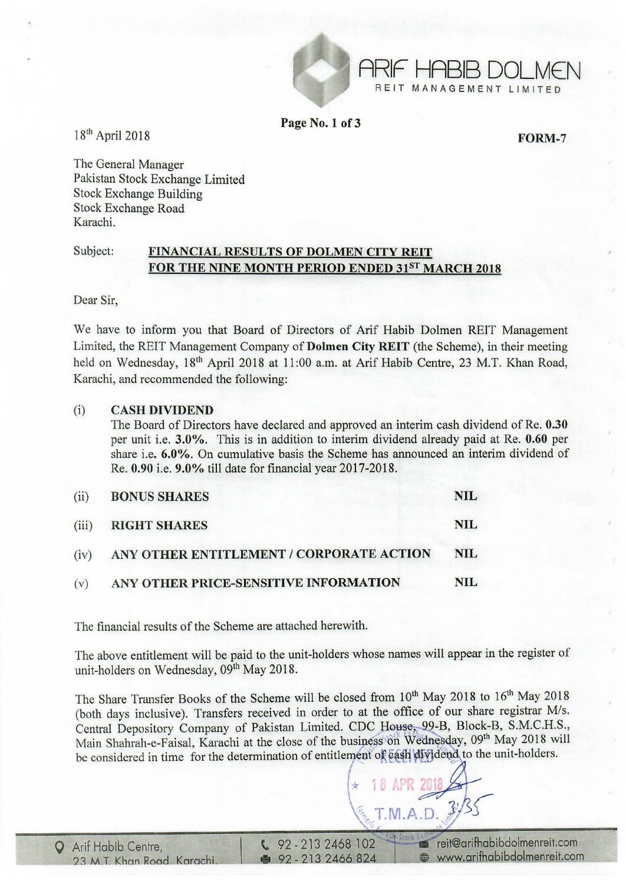

Page No. 1 of 3

FORM-7

ARIF HABIB DOLM€N REIT MANAGEMENT LIMITED

18th April 2018

The General Manager Pakistan Stock Exchange Limited Stock Exchange Building Stock Exchange Road Karachi.

### Subject: FINANCIAL RESULTS OF DOLMEN CITY REIT FOR THE NINE MONTH PERIOD ENDED 31ST MARCH 2018

Dear Sir,

We have to inform you that Board of Directors of Arif Habib Dolmen REIT Management Limited, the REIT Management Company of Dolmen City REIT (the Scheme), in their meeting held on Wednesday, 18<sup>th</sup> April 2018 at 11:00 a.m. at Arif Habib Centre, 23 M.T. Khan Road, Karachi, and recommended the following:

### (i) CASH DIVIDEND

The Board of Directors have declared and approved an interim cash dividend of Re. 0.30 per unit i.e. 3.0%. This is in addition to interim dividend already paid at Re. 0.60 per share i.e. 6.0%. On cumulative basis the Scheme has announced an interim dividend of Re. 0.90 i.e. 9.0% till date for financial year 2017-2018.

| (ii) | <b>BONUS SHARES</b>                           | <b>NIL</b> |
|------|-----------------------------------------------|------------|
|      | (iii) RIGHT SHARES                            | <b>NIL</b> |
|      | (iv) ANY OTHER ENTITLEMENT / CORPORATE ACTION | NIL        |
| (v)  | ANY OTHER PRICE-SENSITIVE INFORMATION         | <b>NIL</b> |

The financial results of the Scheme are attached herewith.

The above entitlement will be paid to the unit-holders whose names will appear in the register of unit-holders on Wednesday, 09<sup>th</sup> May 2018.

The Share Transfer Books of the Scheme will be closed from 10<sup>th</sup> May 2018 to 16<sup>th</sup> May 2018 (both days inclusive). Transfers received in order to at the office of our share registrar *MIs.*  Central Depository Company of Pakistan Limited. CDC House, 99-B, Block-B, S.M.C.H.S., Main Shahrah-e-Faisal, Karachi at the close of the business<sup>8</sup> on Wednesday, 09<sup>th</sup> May 2018 will be considered in time for the determination of entitlement of eash dividend to the unit-holders.

 $\star$  18 APR 2018

 $\left\langle \frac{\delta}{\delta} \right\rangle$ T.M.A.D.  $\left\langle \frac{\delta}{\delta} \right\rangle$ 

',.: , ~

18 APR 2018

 $\sqrt{22.2132468102}$  : reit@arifhabibdolmenreit.com • 92 - 213 2466 824 • www.arifhabibdolmenreit.com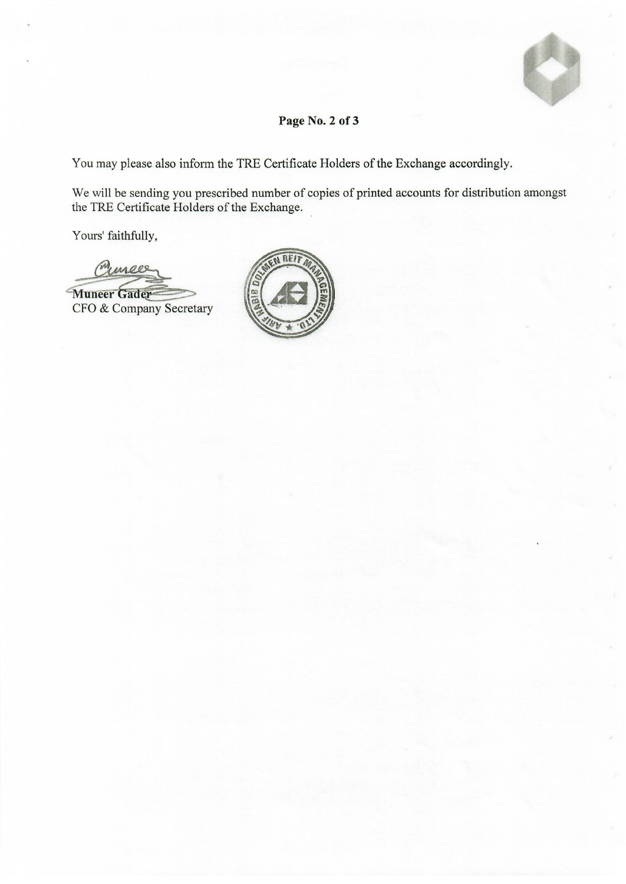

## **Page No.2 of 3**

You may please also inform the TRE Certificate Holders of the Exchange accordingly.

We will be sending you prescribed number of copies of printed accounts for distribution amongst the TRE Certificate Holders of the Exchange.

Yours' faithfully,

mees

**Muneer Gader** CFO & Company Secretary